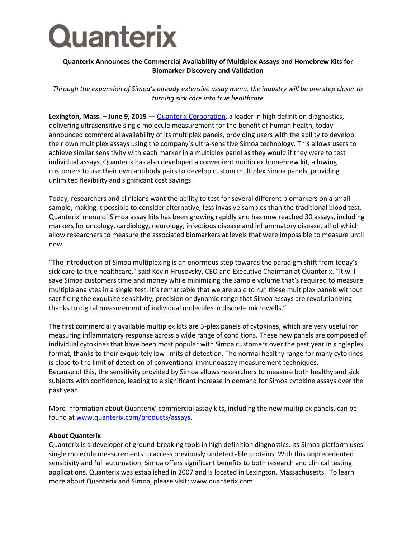

## **Quanterix Announces the Commercial Availability of Multiplex Assays and Homebrew Kits for Biomarker Discovery and Validation**

*Through the expansion of Simoa's already extensive assay menu, the industry will be one step closer to turning sick care into true healthcare* 

**Lexington, Mass. – June 9, 2015** — [Quanterix Corporation,](http://www.quanterix.com/) a leader in high definition diagnostics, delivering ultrasensitive single molecule measurement for the benefit of human health, today announced commercial availability of its multiplex panels, providing users with the ability to develop their own multiplex assays using the company's ultra-sensitive Simoa technology. This allows users to achieve similar sensitivity with each marker in a multiplex panel as they would if they were to test individual assays. Quanterix has also developed a convenient multiplex homebrew kit, allowing customers to use their own antibody pairs to develop custom multiplex Simoa panels, providing unlimited flexibility and significant cost savings.

Today, researchers and clinicians want the ability to test for several different biomarkers on a small sample, making it possible to consider alternative, less invasive samples than the traditional blood test. Quanterix' menu of Simoa assay kits has been growing rapidly and has now reached 30 assays, including markers for oncology, cardiology, neurology, infectious disease and inflammatory disease, all of which allow researchers to measure the associated biomarkers at levels that were impossible to measure until now.

"The introduction of Simoa multiplexing is an enormous step towards the paradigm shift from today's sick care to true healthcare," said Kevin Hrusovsky, CEO and Executive Chairman at Quanterix. "It will save Simoa customers time and money while minimizing the sample volume that's required to measure multiple analytes in a single test. It's remarkable that we are able to run these multiplex panels without sacrificing the exquisite sensitivity, precision or dynamic range that Simoa assays are revolutionizing thanks to digital measurement of individual molecules in discrete microwells."

The first commercially available multiplex kits are 3-plex panels of cytokines, which are very useful for measuring inflammatory response across a wide range of conditions. These new panels are composed of individual cytokines that have been most popular with Simoa customers over the past year in singleplex format, thanks to their exquisitely low limits of detection. The normal healthy range for many cytokines is close to the limit of detection of conventional immunoassay measurement techniques. Because of this, the sensitivity provided by Simoa allows researchers to measure both healthy and sick subjects with confidence, leading to a significant increase in demand for Simoa cytokine assays over the past year.

More information about Quanterix' commercial assay kits, including the new multiplex panels, can be found a[t www.quanterix.com/products/assays.](http://www.quanterix.com/products/assays)

## **About Quanterix**

Quanterix is a developer of ground-breaking tools in high definition diagnostics. Its Simoa platform uses single molecule measurements to access previously undetectable proteins. With this unprecedented sensitivity and full automation, Simoa offers significant benefits to both research and clinical testing applications. Quanterix was established in 2007 and is located in Lexington, Massachusetts. To learn more about Quanterix and Simoa, please visit: [www.quanterix.com.](http://www.quanterix.com/)